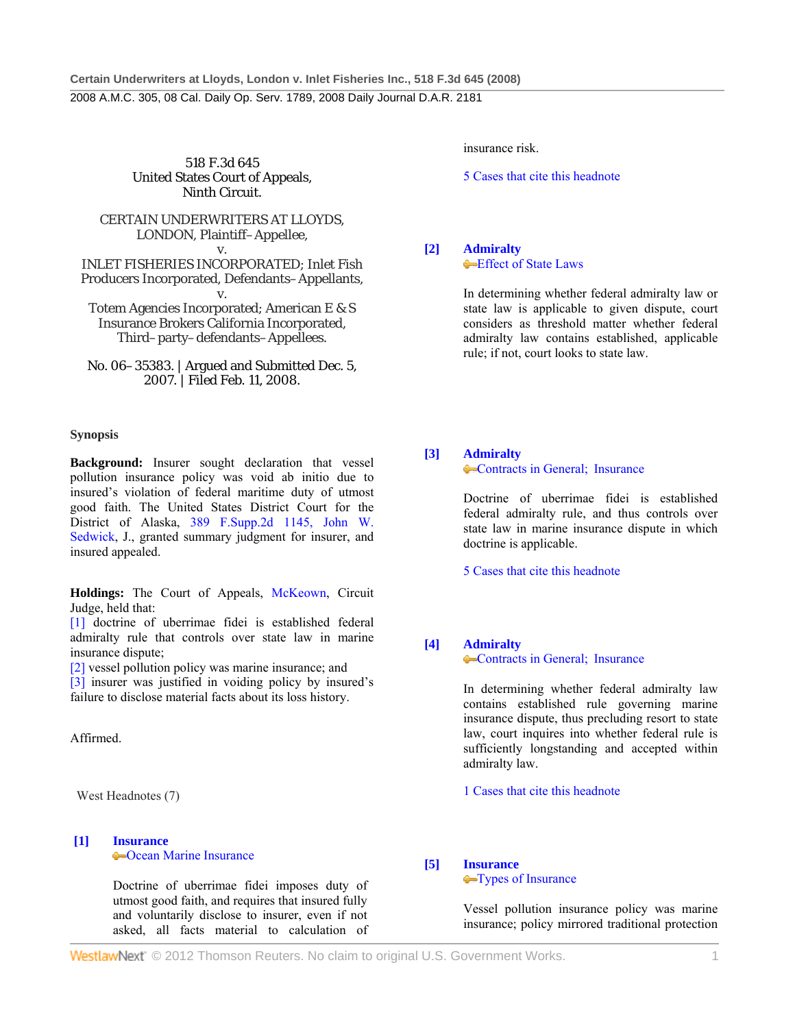518 F.3d 645 United States Court of Appeals, Ninth Circuit.

# CERTAIN UNDERWRITERS AT LLOYDS, LONDON, Plaintiff–Appellee,

v. INLET FISHERIES INCORPORATED; Inlet Fish Producers Incorporated, Defendants–Appellants, v.

Totem Agencies Incorporated; American E & S Insurance Brokers California Incorporated, Third–party–defendants–Appellees.

No. 06–35383. | Argued and Submitted Dec. 5, 2007. | Filed Feb. 11, 2008.

### **Synopsis**

**Background:** Insurer sought declaration that vessel pollution insurance policy was void ab initio due to insured's violation of federal maritime duty of utmost good faith. The United States District Court for the District of Alaska, 389 F.Supp.2d 1145, John W. Sedwick, J., granted summary judgment for insurer, and insured appealed.

Holdings: The Court of Appeals, McKeown, Circuit Judge, held that:

[1] doctrine of uberrimae fidei is established federal admiralty rule that controls over state law in marine insurance dispute;

[2] vessel pollution policy was marine insurance; and

[3] insurer was justified in voiding policy by insured's failure to disclose material facts about its loss history.

Affirmed.

West Headnotes (7)

#### **[1] Insurance** Ocean Marine Insurance

 Doctrine of uberrimae fidei imposes duty of utmost good faith, and requires that insured fully and voluntarily disclose to insurer, even if not asked, all facts material to calculation of insurance risk.

5 Cases that cite this headnote

**[2] Admiralty**

**Effect of State Laws** 

 In determining whether federal admiralty law or state law is applicable to given dispute, court considers as threshold matter whether federal admiralty law contains established, applicable rule; if not, court looks to state law.

# **[3] Admiralty**

**Contracts in General; Insurance** 

 Doctrine of uberrimae fidei is established federal admiralty rule, and thus controls over state law in marine insurance dispute in which doctrine is applicable.

5 Cases that cite this headnote

# **[4] Admiralty**

**Contracts in General; Insurance** 

 In determining whether federal admiralty law contains established rule governing marine insurance dispute, thus precluding resort to state law, court inquires into whether federal rule is sufficiently longstanding and accepted within admiralty law.

1 Cases that cite this headnote

# **[5] Insurance**

**Types of Insurance** 

 Vessel pollution insurance policy was marine insurance; policy mirrored traditional protection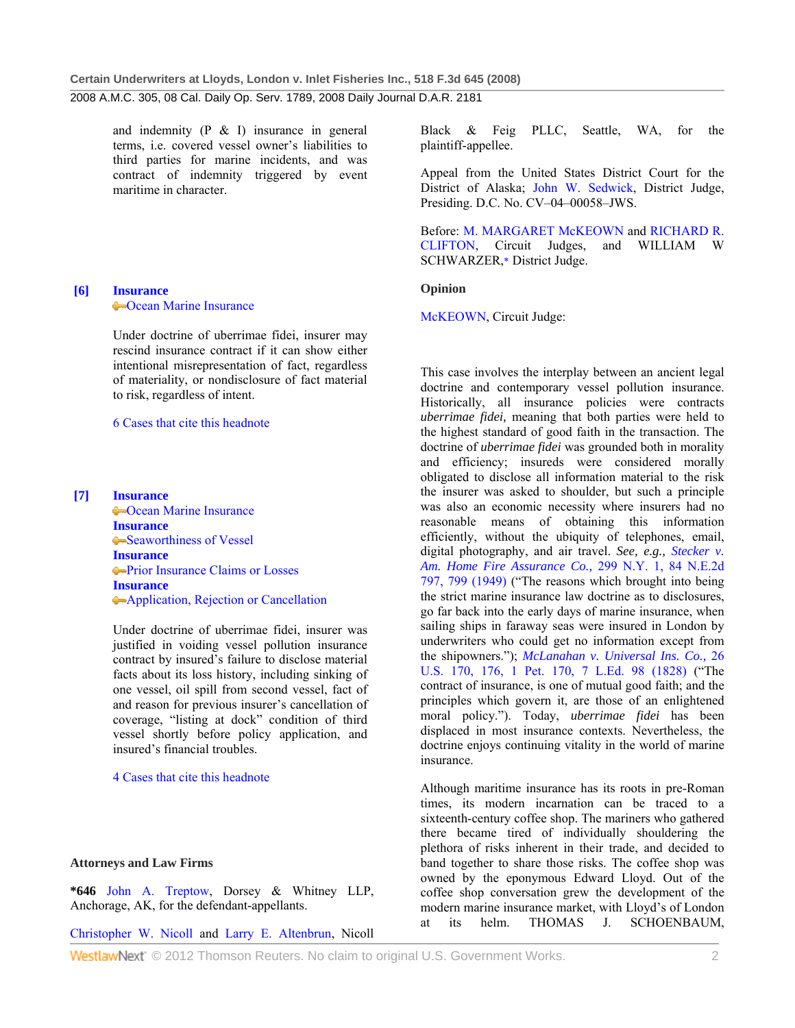and indemnity (P & I) insurance in general terms, i.e. covered vessel owner's liabilities to third parties for marine incidents, and was contract of indemnity triggered by event maritime in character.

# **[6] Insurance Command Marine Insurance**

 Under doctrine of uberrimae fidei, insurer may rescind insurance contract if it can show either intentional misrepresentation of fact, regardless of materiality, or nondisclosure of fact material to risk, regardless of intent.

### 6 Cases that cite this headnote

**[7] Insurance Command Marine Insurance Insurance** •Seaworthiness of Vessel **Insurance •Prior Insurance Claims or Losses Insurance** Application, Rejection or Cancellation

> Under doctrine of uberrimae fidei, insurer was justified in voiding vessel pollution insurance contract by insured's failure to disclose material facts about its loss history, including sinking of one vessel, oil spill from second vessel, fact of and reason for previous insurer's cancellation of coverage, "listing at dock" condition of third vessel shortly before policy application, and insured's financial troubles.

4 Cases that cite this headnote

### **Attorneys and Law Firms**

**\*646** John A. Treptow, Dorsey & Whitney LLP, Anchorage, AK, for the defendant-appellants.

Christopher W. Nicoll and Larry E. Altenbrun, Nicoll

Black & Feig PLLC, Seattle, WA, for the plaintiff-appellee.

Appeal from the United States District Court for the District of Alaska; John W. Sedwick, District Judge, Presiding. D.C. No. CV–04–00058–JWS.

Before: M. MARGARET McKEOWN and RICHARD R. CLIFTON, Circuit Judges, and WILLIAM W SCHWARZER,\* District Judge.

#### **Opinion**

McKEOWN, Circuit Judge:

This case involves the interplay between an ancient legal doctrine and contemporary vessel pollution insurance. Historically, all insurance policies were contracts *uberrimae fidei,* meaning that both parties were held to the highest standard of good faith in the transaction. The doctrine of *uberrimae fidei* was grounded both in morality and efficiency; insureds were considered morally obligated to disclose all information material to the risk the insurer was asked to shoulder, but such a principle was also an economic necessity where insurers had no reasonable means of obtaining this information efficiently, without the ubiquity of telephones, email, digital photography, and air travel. *See, e.g., Stecker v. Am. Home Fire Assurance Co.,* 299 N.Y. 1, 84 N.E.2d 797, 799 (1949) ("The reasons which brought into being the strict marine insurance law doctrine as to disclosures, go far back into the early days of marine insurance, when sailing ships in faraway seas were insured in London by underwriters who could get no information except from the shipowners."); *McLanahan v. Universal Ins. Co.,* 26 U.S. 170, 176, 1 Pet. 170, 7 L.Ed. 98 (1828) ("The contract of insurance, is one of mutual good faith; and the principles which govern it, are those of an enlightened moral policy."). Today, *uberrimae fidei* has been displaced in most insurance contexts. Nevertheless, the doctrine enjoys continuing vitality in the world of marine insurance.

Although maritime insurance has its roots in pre-Roman times, its modern incarnation can be traced to a sixteenth-century coffee shop. The mariners who gathered there became tired of individually shouldering the plethora of risks inherent in their trade, and decided to band together to share those risks. The coffee shop was owned by the eponymous Edward Lloyd. Out of the coffee shop conversation grew the development of the modern marine insurance market, with Lloyd's of London at its helm. THOMAS J. SCHOENBAUM,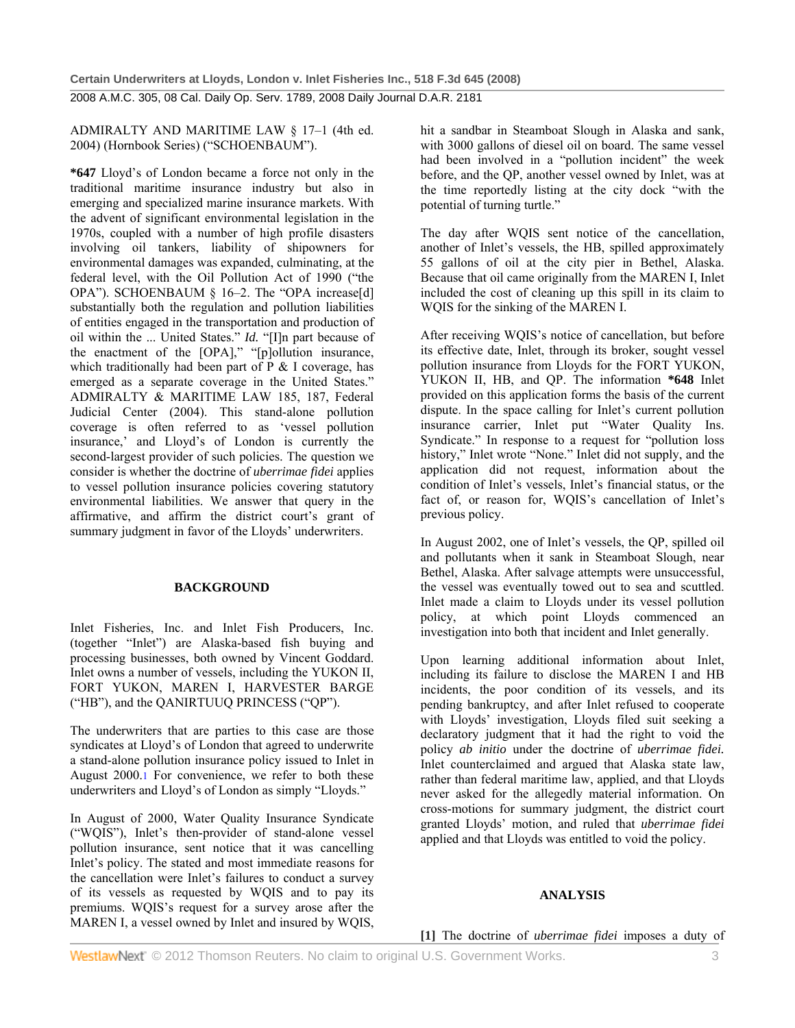ADMIRALTY AND MARITIME LAW § 17–1 (4th ed. 2004) (Hornbook Series) ("SCHOENBAUM").

**\*647** Lloyd's of London became a force not only in the traditional maritime insurance industry but also in emerging and specialized marine insurance markets. With the advent of significant environmental legislation in the 1970s, coupled with a number of high profile disasters involving oil tankers, liability of shipowners for environmental damages was expanded, culminating, at the federal level, with the Oil Pollution Act of 1990 ("the OPA"). SCHOENBAUM § 16-2. The "OPA increase[d] substantially both the regulation and pollution liabilities of entities engaged in the transportation and production of oil within the ... United States." *Id.* "[I]n part because of the enactment of the [OPA]," "[p]ollution insurance, which traditionally had been part of  $P \& I$  coverage, has emerged as a separate coverage in the United States." ADMIRALTY & MARITIME LAW 185, 187, Federal Judicial Center (2004). This stand-alone pollution coverage is often referred to as 'vessel pollution insurance,' and Lloyd's of London is currently the second-largest provider of such policies. The question we consider is whether the doctrine of *uberrimae fidei* applies to vessel pollution insurance policies covering statutory environmental liabilities. We answer that query in the affirmative, and affirm the district court's grant of summary judgment in favor of the Lloyds' underwriters.

# **BACKGROUND**

Inlet Fisheries, Inc. and Inlet Fish Producers, Inc. (together "Inlet") are Alaska-based fish buying and processing businesses, both owned by Vincent Goddard. Inlet owns a number of vessels, including the YUKON II, FORT YUKON, MAREN I, HARVESTER BARGE ("HB"), and the QANIRTUUQ PRINCESS ("QP").

The underwriters that are parties to this case are those syndicates at Lloyd's of London that agreed to underwrite a stand-alone pollution insurance policy issued to Inlet in August 2000.1 For convenience, we refer to both these underwriters and Lloyd's of London as simply "Lloyds."

In August of 2000, Water Quality Insurance Syndicate ("WQIS"), Inlet's then-provider of stand-alone vessel pollution insurance, sent notice that it was cancelling Inlet's policy. The stated and most immediate reasons for the cancellation were Inlet's failures to conduct a survey of its vessels as requested by WQIS and to pay its premiums. WQIS's request for a survey arose after the MAREN I, a vessel owned by Inlet and insured by WQIS, hit a sandbar in Steamboat Slough in Alaska and sank, with 3000 gallons of diesel oil on board. The same vessel had been involved in a "pollution incident" the week before, and the QP, another vessel owned by Inlet, was at the time reportedly listing at the city dock "with the potential of turning turtle."

The day after WQIS sent notice of the cancellation, another of Inlet's vessels, the HB, spilled approximately 55 gallons of oil at the city pier in Bethel, Alaska. Because that oil came originally from the MAREN I, Inlet included the cost of cleaning up this spill in its claim to WQIS for the sinking of the MAREN I.

After receiving WQIS's notice of cancellation, but before its effective date, Inlet, through its broker, sought vessel pollution insurance from Lloyds for the FORT YUKON, YUKON II, HB, and QP. The information **\*648** Inlet provided on this application forms the basis of the current dispute. In the space calling for Inlet's current pollution insurance carrier, Inlet put "Water Quality Ins. Syndicate." In response to a request for "pollution loss history," Inlet wrote "None." Inlet did not supply, and the application did not request, information about the condition of Inlet's vessels, Inlet's financial status, or the fact of, or reason for, WQIS's cancellation of Inlet's previous policy.

In August 2002, one of Inlet's vessels, the QP, spilled oil and pollutants when it sank in Steamboat Slough, near Bethel, Alaska. After salvage attempts were unsuccessful, the vessel was eventually towed out to sea and scuttled. Inlet made a claim to Lloyds under its vessel pollution policy, at which point Lloyds commenced an investigation into both that incident and Inlet generally.

Upon learning additional information about Inlet, including its failure to disclose the MAREN I and HB incidents, the poor condition of its vessels, and its pending bankruptcy, and after Inlet refused to cooperate with Lloyds' investigation, Lloyds filed suit seeking a declaratory judgment that it had the right to void the policy *ab initio* under the doctrine of *uberrimae fidei.* Inlet counterclaimed and argued that Alaska state law, rather than federal maritime law, applied, and that Lloyds never asked for the allegedly material information. On cross-motions for summary judgment, the district court granted Lloyds' motion, and ruled that *uberrimae fidei* applied and that Lloyds was entitled to void the policy.

# **ANALYSIS**

**[1]** The doctrine of *uberrimae fidei* imposes a duty of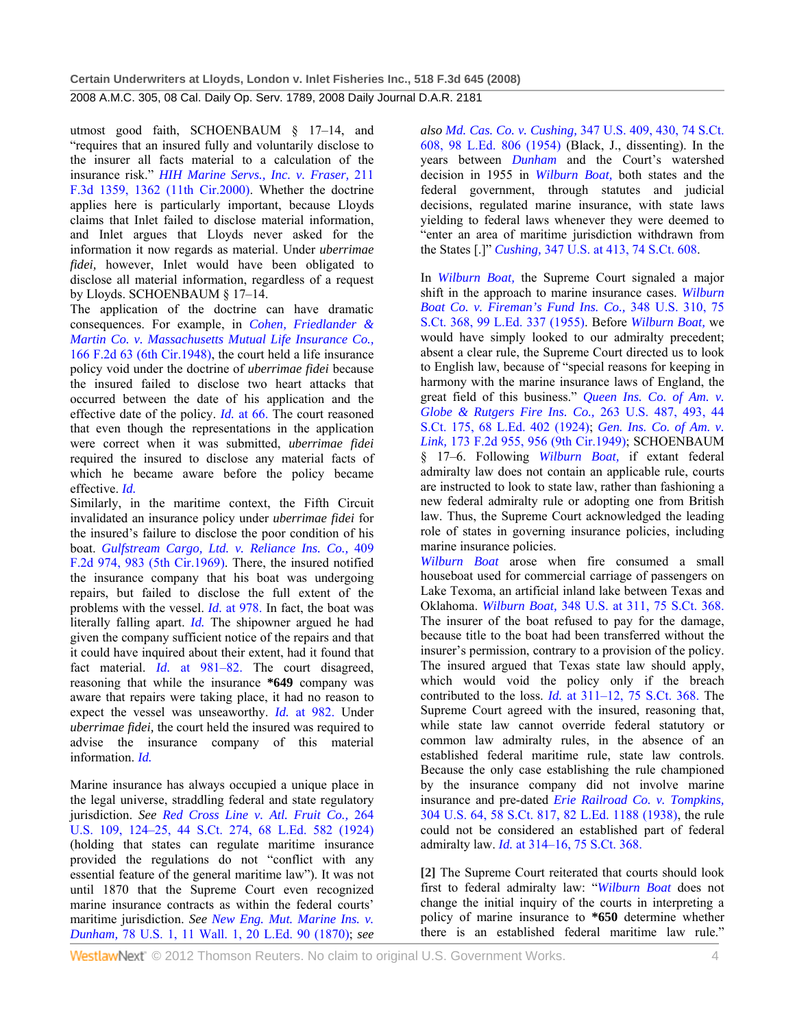utmost good faith, SCHOENBAUM § 17–14, and "requires that an insured fully and voluntarily disclose to the insurer all facts material to a calculation of the insurance risk." *HIH Marine Servs., Inc. v. Fraser,* 211 F.3d 1359, 1362 (11th Cir.2000). Whether the doctrine applies here is particularly important, because Lloyds claims that Inlet failed to disclose material information, and Inlet argues that Lloyds never asked for the information it now regards as material. Under *uberrimae fidei,* however, Inlet would have been obligated to disclose all material information, regardless of a request by Lloyds. SCHOENBAUM § 17–14.

The application of the doctrine can have dramatic consequences. For example, in *Cohen, Friedlander & Martin Co. v. Massachusetts Mutual Life Insurance Co.,* 166 F.2d 63 (6th Cir.1948), the court held a life insurance policy void under the doctrine of *uberrimae fidei* because the insured failed to disclose two heart attacks that occurred between the date of his application and the effective date of the policy. *Id.* at 66. The court reasoned that even though the representations in the application were correct when it was submitted, *uberrimae fidei* required the insured to disclose any material facts of which he became aware before the policy became effective. *Id.*

Similarly, in the maritime context, the Fifth Circuit invalidated an insurance policy under *uberrimae fidei* for the insured's failure to disclose the poor condition of his boat. *Gulfstream Cargo, Ltd. v. Reliance Ins. Co.,* 409 F.2d 974, 983 (5th Cir.1969). There, the insured notified the insurance company that his boat was undergoing repairs, but failed to disclose the full extent of the problems with the vessel. *Id.* at 978. In fact, the boat was literally falling apart. *Id.* The shipowner argued he had given the company sufficient notice of the repairs and that it could have inquired about their extent, had it found that fact material. *Id.* at 981–82. The court disagreed, reasoning that while the insurance **\*649** company was aware that repairs were taking place, it had no reason to expect the vessel was unseaworthy. *Id.* at 982. Under *uberrimae fidei,* the court held the insured was required to advise the insurance company of this material information. *Id.*

Marine insurance has always occupied a unique place in the legal universe, straddling federal and state regulatory jurisdiction. *See Red Cross Line v. Atl. Fruit Co.,* 264 U.S. 109, 124–25, 44 S.Ct. 274, 68 L.Ed. 582 (1924) (holding that states can regulate maritime insurance provided the regulations do not "conflict with any essential feature of the general maritime law"). It was not until 1870 that the Supreme Court even recognized marine insurance contracts as within the federal courts' maritime jurisdiction. *See New Eng. Mut. Marine Ins. v. Dunham,* 78 U.S. 1, 11 Wall. 1, 20 L.Ed. 90 (1870); *see* 

*also Md. Cas. Co. v. Cushing,* 347 U.S. 409, 430, 74 S.Ct. 608, 98 L.Ed. 806 (1954) (Black, J., dissenting). In the years between *Dunham* and the Court's watershed decision in 1955 in *Wilburn Boat,* both states and the federal government, through statutes and judicial decisions, regulated marine insurance, with state laws yielding to federal laws whenever they were deemed to "enter an area of maritime jurisdiction withdrawn from the States [.]" *Cushing,* 347 U.S. at 413, 74 S.Ct. 608.

In *Wilburn Boat,* the Supreme Court signaled a major shift in the approach to marine insurance cases. *Wilburn Boat Co. v. Fireman's Fund Ins. Co.,* 348 U.S. 310, 75 S.Ct. 368, 99 L.Ed. 337 (1955). Before *Wilburn Boat,* we would have simply looked to our admiralty precedent; absent a clear rule, the Supreme Court directed us to look to English law, because of "special reasons for keeping in harmony with the marine insurance laws of England, the great field of this business." *Queen Ins. Co. of Am. v. Globe & Rutgers Fire Ins. Co.,* 263 U.S. 487, 493, 44 S.Ct. 175, 68 L.Ed. 402 (1924); *Gen. Ins. Co. of Am. v. Link,* 173 F.2d 955, 956 (9th Cir.1949); SCHOENBAUM § 17–6. Following *Wilburn Boat,* if extant federal admiralty law does not contain an applicable rule, courts are instructed to look to state law, rather than fashioning a new federal admiralty rule or adopting one from British law. Thus, the Supreme Court acknowledged the leading role of states in governing insurance policies, including marine insurance policies.

*Wilburn Boat* arose when fire consumed a small houseboat used for commercial carriage of passengers on Lake Texoma, an artificial inland lake between Texas and Oklahoma. *Wilburn Boat,* 348 U.S. at 311, 75 S.Ct. 368. The insurer of the boat refused to pay for the damage, because title to the boat had been transferred without the insurer's permission, contrary to a provision of the policy. The insured argued that Texas state law should apply, which would void the policy only if the breach contributed to the loss. *Id.* at 311–12, 75 S.Ct. 368. The Supreme Court agreed with the insured, reasoning that, while state law cannot override federal statutory or common law admiralty rules, in the absence of an established federal maritime rule, state law controls. Because the only case establishing the rule championed by the insurance company did not involve marine insurance and pre-dated *Erie Railroad Co. v. Tompkins,* 304 U.S. 64, 58 S.Ct. 817, 82 L.Ed. 1188 (1938), the rule could not be considered an established part of federal admiralty law. *Id.* at 314–16, 75 S.Ct. 368.

**[2]** The Supreme Court reiterated that courts should look first to federal admiralty law: "*Wilburn Boat* does not change the initial inquiry of the courts in interpreting a policy of marine insurance to **\*650** determine whether there is an established federal maritime law rule."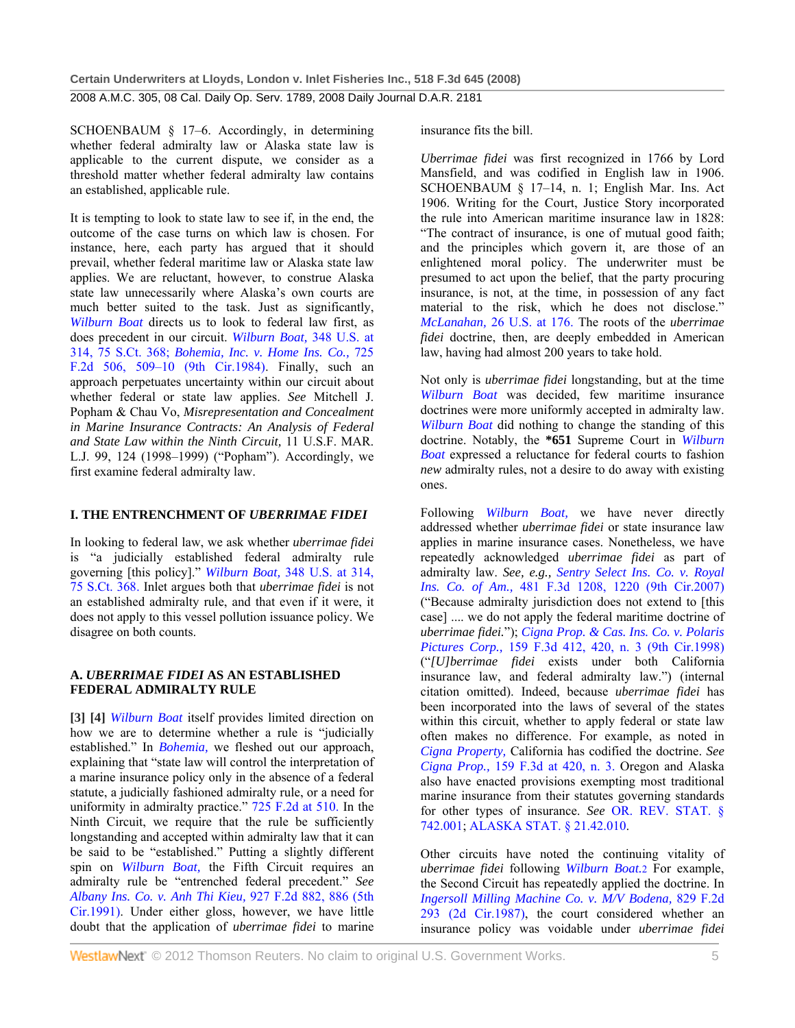SCHOENBAUM § 17–6. Accordingly, in determining whether federal admiralty law or Alaska state law is applicable to the current dispute, we consider as a threshold matter whether federal admiralty law contains an established, applicable rule.

It is tempting to look to state law to see if, in the end, the outcome of the case turns on which law is chosen. For instance, here, each party has argued that it should prevail, whether federal maritime law or Alaska state law applies. We are reluctant, however, to construe Alaska state law unnecessarily where Alaska's own courts are much better suited to the task. Just as significantly, *Wilburn Boat* directs us to look to federal law first, as does precedent in our circuit. *Wilburn Boat,* 348 U.S. at 314, 75 S.Ct. 368; *Bohemia, Inc. v. Home Ins. Co.,* 725 F.2d 506, 509–10 (9th Cir.1984). Finally, such an approach perpetuates uncertainty within our circuit about whether federal or state law applies. *See* Mitchell J. Popham & Chau Vo, *Misrepresentation and Concealment in Marine Insurance Contracts: An Analysis of Federal and State Law within the Ninth Circuit,* 11 U.S.F. MAR. L.J. 99, 124 (1998–1999) ("Popham"). Accordingly, we first examine federal admiralty law.

# **I. THE ENTRENCHMENT OF** *UBERRIMAE FIDEI*

In looking to federal law, we ask whether *uberrimae fidei* is "a judicially established federal admiralty rule governing [this policy]." *Wilburn Boat,* 348 U.S. at 314, 75 S.Ct. 368. Inlet argues both that *uberrimae fidei* is not an established admiralty rule, and that even if it were, it does not apply to this vessel pollution issuance policy. We disagree on both counts.

# **A.** *UBERRIMAE FIDEI* **AS AN ESTABLISHED FEDERAL ADMIRALTY RULE**

**[3] [4]** *Wilburn Boat* itself provides limited direction on how we are to determine whether a rule is "judicially established." In *Bohemia,* we fleshed out our approach, explaining that "state law will control the interpretation of a marine insurance policy only in the absence of a federal statute, a judicially fashioned admiralty rule, or a need for uniformity in admiralty practice." 725 F.2d at 510. In the Ninth Circuit, we require that the rule be sufficiently longstanding and accepted within admiralty law that it can be said to be "established." Putting a slightly different spin on *Wilburn Boat,* the Fifth Circuit requires an admiralty rule be "entrenched federal precedent." *See Albany Ins. Co. v. Anh Thi Kieu,* 927 F.2d 882, 886 (5th Cir.1991). Under either gloss, however, we have little doubt that the application of *uberrimae fidei* to marine

insurance fits the bill.

*Uberrimae fidei* was first recognized in 1766 by Lord Mansfield, and was codified in English law in 1906. SCHOENBAUM § 17–14, n. 1; English Mar. Ins. Act 1906. Writing for the Court, Justice Story incorporated the rule into American maritime insurance law in 1828: "The contract of insurance, is one of mutual good faith; and the principles which govern it, are those of an enlightened moral policy. The underwriter must be presumed to act upon the belief, that the party procuring insurance, is not, at the time, in possession of any fact material to the risk, which he does not disclose." *McLanahan,* 26 U.S. at 176. The roots of the *uberrimae fidei* doctrine, then, are deeply embedded in American law, having had almost 200 years to take hold.

Not only is *uberrimae fidei* longstanding, but at the time *Wilburn Boat* was decided, few maritime insurance doctrines were more uniformly accepted in admiralty law. *Wilburn Boat* did nothing to change the standing of this doctrine. Notably, the **\*651** Supreme Court in *Wilburn Boat* expressed a reluctance for federal courts to fashion *new* admiralty rules, not a desire to do away with existing ones.

Following *Wilburn Boat,* we have never directly addressed whether *uberrimae fidei* or state insurance law applies in marine insurance cases. Nonetheless, we have repeatedly acknowledged *uberrimae fidei* as part of admiralty law. *See, e.g., Sentry Select Ins. Co. v. Royal Ins. Co. of Am.,* 481 F.3d 1208, 1220 (9th Cir.2007) ("Because admiralty jurisdiction does not extend to [this case] .... we do not apply the federal maritime doctrine of *uberrimae fidei.*"); *Cigna Prop. & Cas. Ins. Co. v. Polaris Pictures Corp.,* 159 F.3d 412, 420, n. 3 (9th Cir.1998) ("*[U]berrimae fidei* exists under both California insurance law, and federal admiralty law.") (internal citation omitted). Indeed, because *uberrimae fidei* has been incorporated into the laws of several of the states within this circuit, whether to apply federal or state law often makes no difference. For example, as noted in *Cigna Property,* California has codified the doctrine. *See Cigna Prop.,* 159 F.3d at 420, n. 3. Oregon and Alaska also have enacted provisions exempting most traditional marine insurance from their statutes governing standards for other types of insurance. *See* OR. REV. STAT. § 742.001; ALASKA STAT. § 21.42.010.

Other circuits have noted the continuing vitality of *uberrimae fidei* following *Wilburn Boat.*2 For example, the Second Circuit has repeatedly applied the doctrine. In *Ingersoll Milling Machine Co. v. M/V Bodena,* 829 F.2d 293 (2d Cir.1987), the court considered whether an insurance policy was voidable under *uberrimae fidei*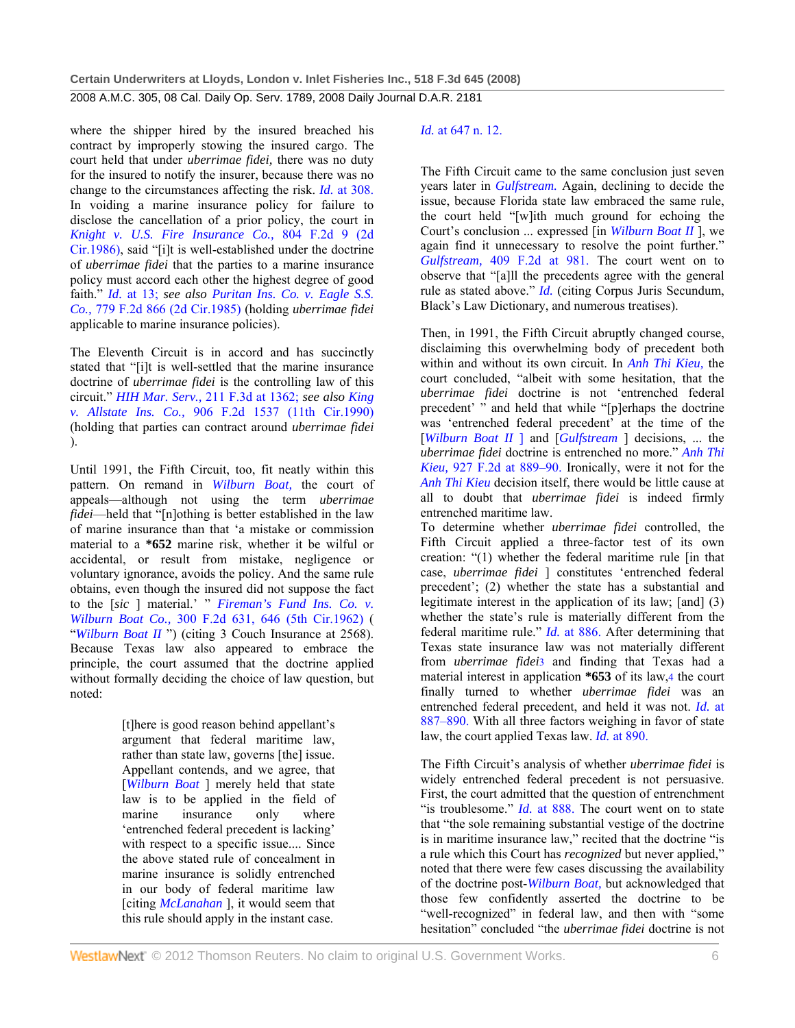where the shipper hired by the insured breached his contract by improperly stowing the insured cargo. The court held that under *uberrimae fidei,* there was no duty for the insured to notify the insurer, because there was no change to the circumstances affecting the risk. *Id.* at 308. In voiding a marine insurance policy for failure to disclose the cancellation of a prior policy, the court in *Knight v. U.S. Fire Insurance Co.,* 804 F.2d 9 (2d Cir.1986), said "[i]t is well-established under the doctrine of *uberrimae fidei* that the parties to a marine insurance policy must accord each other the highest degree of good faith." *Id.* at 13; *see also Puritan Ins. Co. v. Eagle S.S. Co.,* 779 F.2d 866 (2d Cir.1985) (holding *uberrimae fidei* applicable to marine insurance policies).

The Eleventh Circuit is in accord and has succinctly stated that "[i]t is well-settled that the marine insurance doctrine of *uberrimae fidei* is the controlling law of this circuit." *HIH Mar. Serv.,* 211 F.3d at 1362; *see also King v. Allstate Ins. Co.,* 906 F.2d 1537 (11th Cir.1990) (holding that parties can contract around *uberrimae fidei* ).

Until 1991, the Fifth Circuit, too, fit neatly within this pattern. On remand in *Wilburn Boat,* the court of appeals—although not using the term *uberrimae fidei*—held that "[n]othing is better established in the law of marine insurance than that 'a mistake or commission material to a **\*652** marine risk, whether it be wilful or accidental, or result from mistake, negligence or voluntary ignorance, avoids the policy. And the same rule obtains, even though the insured did not suppose the fact to the [*sic* ] material.' " *Fireman's Fund Ins. Co. v. Wilburn Boat Co.,* 300 F.2d 631, 646 (5th Cir.1962) ( "*Wilburn Boat II* ") (citing 3 Couch Insurance at 2568). Because Texas law also appeared to embrace the principle, the court assumed that the doctrine applied without formally deciding the choice of law question, but noted:

> [t]here is good reason behind appellant's argument that federal maritime law, rather than state law, governs [the] issue. Appellant contends, and we agree, that [*Wilburn Boat* ] merely held that state law is to be applied in the field of marine insurance only where 'entrenched federal precedent is lacking' with respect to a specific issue.... Since the above stated rule of concealment in marine insurance is solidly entrenched in our body of federal maritime law [citing *McLanahan* ], it would seem that this rule should apply in the instant case.

# *Id.* at 647 n. 12.

The Fifth Circuit came to the same conclusion just seven years later in *Gulfstream.* Again, declining to decide the issue, because Florida state law embraced the same rule, the court held "[w]ith much ground for echoing the Court's conclusion ... expressed [in *Wilburn Boat II* ], we again find it unnecessary to resolve the point further." *Gulfstream,* 409 F.2d at 981. The court went on to observe that "[a]ll the precedents agree with the general rule as stated above." *Id.* (citing Corpus Juris Secundum, Black's Law Dictionary, and numerous treatises).

Then, in 1991, the Fifth Circuit abruptly changed course, disclaiming this overwhelming body of precedent both within and without its own circuit. In *Anh Thi Kieu,* the court concluded, "albeit with some hesitation, that the *uberrimae fidei* doctrine is not 'entrenched federal precedent' " and held that while "[p]erhaps the doctrine was 'entrenched federal precedent' at the time of the [*Wilburn Boat II* ] and [*Gulfstream* ] decisions, ... the *uberrimae fidei* doctrine is entrenched no more." *Anh Thi Kieu,* 927 F.2d at 889–90. Ironically, were it not for the *Anh Thi Kieu* decision itself, there would be little cause at all to doubt that *uberrimae fidei* is indeed firmly entrenched maritime law.

To determine whether *uberrimae fidei* controlled, the Fifth Circuit applied a three-factor test of its own creation: "(1) whether the federal maritime rule [in that case, *uberrimae fidei* ] constitutes 'entrenched federal precedent'; (2) whether the state has a substantial and legitimate interest in the application of its law; [and] (3) whether the state's rule is materially different from the federal maritime rule." *Id.* at 886. After determining that Texas state insurance law was not materially different from *uberrimae fidei*3 and finding that Texas had a material interest in application **\*653** of its law,4 the court finally turned to whether *uberrimae fidei* was an entrenched federal precedent, and held it was not. *Id.* at 887–890. With all three factors weighing in favor of state law, the court applied Texas law. *Id.* at 890.

The Fifth Circuit's analysis of whether *uberrimae fidei* is widely entrenched federal precedent is not persuasive. First, the court admitted that the question of entrenchment "is troublesome." *Id.* at 888. The court went on to state that "the sole remaining substantial vestige of the doctrine is in maritime insurance law," recited that the doctrine "is a rule which this Court has *recognized* but never applied," noted that there were few cases discussing the availability of the doctrine post-*Wilburn Boat,* but acknowledged that those few confidently asserted the doctrine to be "well-recognized" in federal law, and then with "some hesitation" concluded "the *uberrimae fidei* doctrine is not

WestlawNext" © 2012 Thomson Reuters. No claim to original U.S. Government Works. 6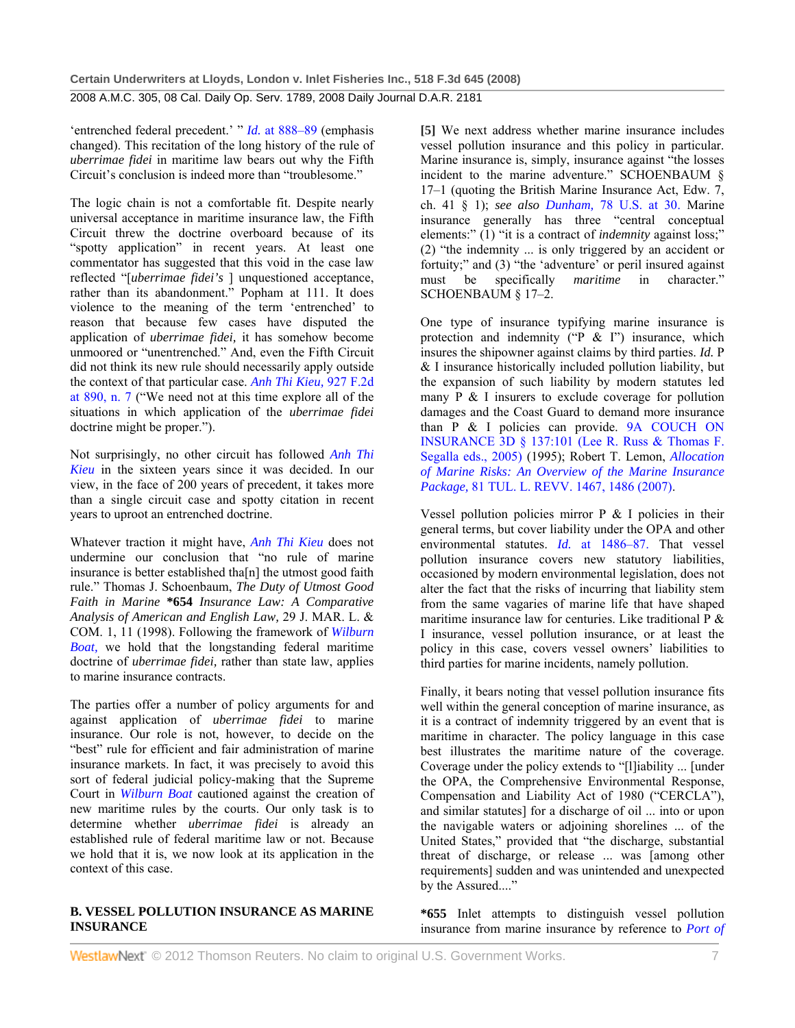'entrenched federal precedent.' " *Id.* at 888–89 (emphasis changed). This recitation of the long history of the rule of *uberrimae fidei* in maritime law bears out why the Fifth Circuit's conclusion is indeed more than "troublesome."

The logic chain is not a comfortable fit. Despite nearly universal acceptance in maritime insurance law, the Fifth Circuit threw the doctrine overboard because of its "spotty application" in recent years. At least one commentator has suggested that this void in the case law reflected "[*uberrimae fidei's* ] unquestioned acceptance, rather than its abandonment." Popham at 111. It does violence to the meaning of the term 'entrenched' to reason that because few cases have disputed the application of *uberrimae fidei,* it has somehow become unmoored or "unentrenched." And, even the Fifth Circuit did not think its new rule should necessarily apply outside the context of that particular case. *Anh Thi Kieu,* 927 F.2d at 890, n. 7 ("We need not at this time explore all of the situations in which application of the *uberrimae fidei* doctrine might be proper.").

Not surprisingly, no other circuit has followed *Anh Thi Kieu* in the sixteen years since it was decided. In our view, in the face of 200 years of precedent, it takes more than a single circuit case and spotty citation in recent years to uproot an entrenched doctrine.

Whatever traction it might have, *Anh Thi Kieu* does not undermine our conclusion that "no rule of marine insurance is better established tha[n] the utmost good faith rule." Thomas J. Schoenbaum, *The Duty of Utmost Good Faith in Marine* **\*654** *Insurance Law: A Comparative Analysis of American and English Law,* 29 J. MAR. L. & COM. 1, 11 (1998). Following the framework of *Wilburn Boat,* we hold that the longstanding federal maritime doctrine of *uberrimae fidei,* rather than state law, applies to marine insurance contracts.

The parties offer a number of policy arguments for and against application of *uberrimae fidei* to marine insurance. Our role is not, however, to decide on the "best" rule for efficient and fair administration of marine insurance markets. In fact, it was precisely to avoid this sort of federal judicial policy-making that the Supreme Court in *Wilburn Boat* cautioned against the creation of new maritime rules by the courts. Our only task is to determine whether *uberrimae fidei* is already an established rule of federal maritime law or not. Because we hold that it is, we now look at its application in the context of this case.

# **B. VESSEL POLLUTION INSURANCE AS MARINE INSURANCE**

**[5]** We next address whether marine insurance includes vessel pollution insurance and this policy in particular. Marine insurance is, simply, insurance against "the losses incident to the marine adventure." SCHOENBAUM § 17–1 (quoting the British Marine Insurance Act, Edw. 7, ch. 41 § 1); *see also Dunham,* 78 U.S. at 30. Marine insurance generally has three "central conceptual elements:" (1) "it is a contract of *indemnity* against loss;" (2) "the indemnity ... is only triggered by an accident or fortuity;" and (3) "the 'adventure' or peril insured against must be specifically *maritime* in character." SCHOENBAUM § 17–2.

One type of insurance typifying marine insurance is protection and indemnity ("P  $&$  I") insurance, which insures the shipowner against claims by third parties. *Id.* P & I insurance historically included pollution liability, but the expansion of such liability by modern statutes led many P & I insurers to exclude coverage for pollution damages and the Coast Guard to demand more insurance than P & I policies can provide. 9A COUCH ON INSURANCE 3D § 137:101 (Lee R. Russ & Thomas F. Segalla eds., 2005) (1995); Robert T. Lemon, *Allocation of Marine Risks: An Overview of the Marine Insurance Package,* 81 TUL. L. REVV. 1467, 1486 (2007).

Vessel pollution policies mirror  $P \& I$  policies in their general terms, but cover liability under the OPA and other environmental statutes. *Id.* at 1486–87. That vessel pollution insurance covers new statutory liabilities, occasioned by modern environmental legislation, does not alter the fact that the risks of incurring that liability stem from the same vagaries of marine life that have shaped maritime insurance law for centuries. Like traditional P & I insurance, vessel pollution insurance, or at least the policy in this case, covers vessel owners' liabilities to third parties for marine incidents, namely pollution.

Finally, it bears noting that vessel pollution insurance fits well within the general conception of marine insurance, as it is a contract of indemnity triggered by an event that is maritime in character. The policy language in this case best illustrates the maritime nature of the coverage. Coverage under the policy extends to "[l]iability ... [under the OPA, the Comprehensive Environmental Response, Compensation and Liability Act of 1980 ("CERCLA"), and similar statutes] for a discharge of oil ... into or upon the navigable waters or adjoining shorelines ... of the United States," provided that "the discharge, substantial threat of discharge, or release ... was [among other requirements] sudden and was unintended and unexpected by the Assured...."

**\*655** Inlet attempts to distinguish vessel pollution insurance from marine insurance by reference to *Port of*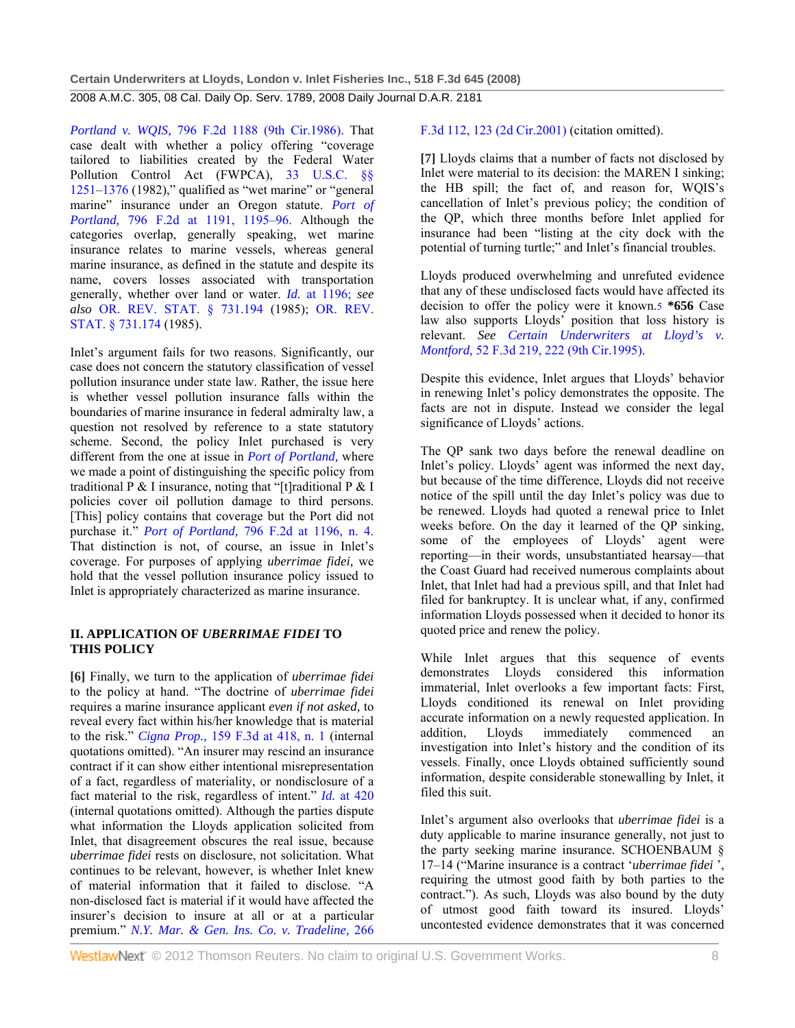*Portland v. WQIS,* 796 F.2d 1188 (9th Cir.1986). That case dealt with whether a policy offering "coverage tailored to liabilities created by the Federal Water Pollution Control Act (FWPCA), 33 U.S.C. §§  $1251-1376$  (1982)," qualified as "wet marine" or "general marine" insurance under an Oregon statute. *Port of Portland,* 796 F.2d at 1191, 1195–96. Although the categories overlap, generally speaking, wet marine insurance relates to marine vessels, whereas general marine insurance, as defined in the statute and despite its name, covers losses associated with transportation generally, whether over land or water. *Id.* at 1196; *see also* OR. REV. STAT. § 731.194 (1985); OR. REV. STAT. § 731.174 (1985).

Inlet's argument fails for two reasons. Significantly, our case does not concern the statutory classification of vessel pollution insurance under state law. Rather, the issue here is whether vessel pollution insurance falls within the boundaries of marine insurance in federal admiralty law, a question not resolved by reference to a state statutory scheme. Second, the policy Inlet purchased is very different from the one at issue in *Port of Portland,* where we made a point of distinguishing the specific policy from traditional P & I insurance, noting that "[t]raditional P & I policies cover oil pollution damage to third persons. [This] policy contains that coverage but the Port did not purchase it." *Port of Portland,* 796 F.2d at 1196, n. 4. That distinction is not, of course, an issue in Inlet's coverage. For purposes of applying *uberrimae fidei,* we hold that the vessel pollution insurance policy issued to Inlet is appropriately characterized as marine insurance.

### **II. APPLICATION OF** *UBERRIMAE FIDEI* **TO THIS POLICY**

**[6]** Finally, we turn to the application of *uberrimae fidei* to the policy at hand. "The doctrine of *uberrimae fidei* requires a marine insurance applicant *even if not asked,* to reveal every fact within his/her knowledge that is material to the risk." *Cigna Prop.,* 159 F.3d at 418, n. 1 (internal quotations omitted). "An insurer may rescind an insurance contract if it can show either intentional misrepresentation of a fact, regardless of materiality, or nondisclosure of a fact material to the risk, regardless of intent." *Id.* at 420 (internal quotations omitted). Although the parties dispute what information the Lloyds application solicited from Inlet, that disagreement obscures the real issue, because *uberrimae fidei* rests on disclosure, not solicitation. What continues to be relevant, however, is whether Inlet knew of material information that it failed to disclose. "A non-disclosed fact is material if it would have affected the insurer's decision to insure at all or at a particular premium." *N.Y. Mar. & Gen. Ins. Co. v. Tradeline,* 266

F.3d 112, 123 (2d Cir.2001) (citation omitted).

**[7]** Lloyds claims that a number of facts not disclosed by Inlet were material to its decision: the MAREN I sinking; the HB spill; the fact of, and reason for, WQIS's cancellation of Inlet's previous policy; the condition of the QP, which three months before Inlet applied for insurance had been "listing at the city dock with the potential of turning turtle;" and Inlet's financial troubles.

Lloyds produced overwhelming and unrefuted evidence that any of these undisclosed facts would have affected its decision to offer the policy were it known.5 **\*656** Case law also supports Lloyds' position that loss history is relevant. *See Certain Underwriters at Lloyd's v. Montford,* 52 F.3d 219, 222 (9th Cir.1995).

Despite this evidence, Inlet argues that Lloyds' behavior in renewing Inlet's policy demonstrates the opposite. The facts are not in dispute. Instead we consider the legal significance of Lloyds' actions.

The QP sank two days before the renewal deadline on Inlet's policy. Lloyds' agent was informed the next day. but because of the time difference, Lloyds did not receive notice of the spill until the day Inlet's policy was due to be renewed. Lloyds had quoted a renewal price to Inlet weeks before. On the day it learned of the QP sinking, some of the employees of Lloyds' agent were reporting—in their words, unsubstantiated hearsay—that the Coast Guard had received numerous complaints about Inlet, that Inlet had had a previous spill, and that Inlet had filed for bankruptcy. It is unclear what, if any, confirmed information Lloyds possessed when it decided to honor its quoted price and renew the policy.

While Inlet argues that this sequence of events demonstrates Lloyds considered this information immaterial, Inlet overlooks a few important facts: First, Lloyds conditioned its renewal on Inlet providing accurate information on a newly requested application. In addition, Lloyds immediately commenced an investigation into Inlet's history and the condition of its vessels. Finally, once Lloyds obtained sufficiently sound information, despite considerable stonewalling by Inlet, it filed this suit.

Inlet's argument also overlooks that *uberrimae fidei* is a duty applicable to marine insurance generally, not just to the party seeking marine insurance. SCHOENBAUM § 17–14 ("Marine insurance is a contract '*uberrimae fidei* ', requiring the utmost good faith by both parties to the contract."). As such, Lloyds was also bound by the duty of utmost good faith toward its insured. Lloyds' uncontested evidence demonstrates that it was concerned